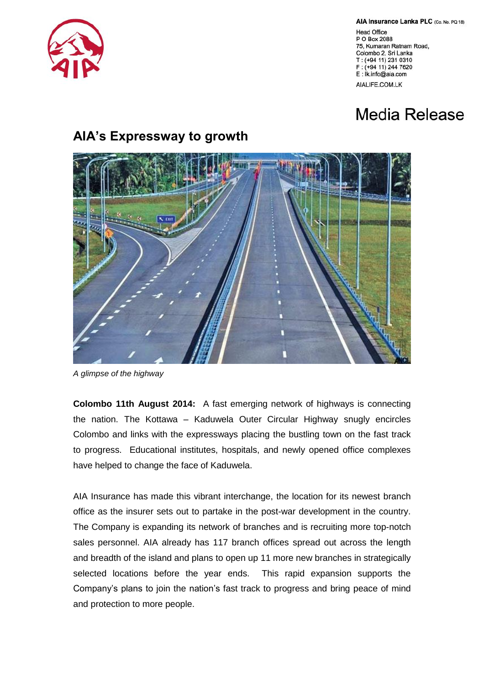

AIA Insurance Lanka PLC (Co. No. PQ 18)

**Head Office** P O Box 2088 75, Kumaran Ratnam Road, Colombo 2, Sri Lanka T: (+94 11) 231 0310 F: (+94 11) 244 7620 E: Ik.info@aia.com AIALIFE.COM.LK

## Media Release

## **AIA's Expressway to growth**



*A glimpse of the highway*

**Colombo 11th August 2014:** A fast emerging network of highways is connecting the nation. The Kottawa – Kaduwela Outer Circular Highway snugly encircles Colombo and links with the expressways placing the bustling town on the fast track to progress. Educational institutes, hospitals, and newly opened office complexes have helped to change the face of Kaduwela.

AIA Insurance has made this vibrant interchange, the location for its newest branch office as the insurer sets out to partake in the post-war development in the country. The Company is expanding its network of branches and is recruiting more top-notch sales personnel. AIA already has 117 branch offices spread out across the length and breadth of the island and plans to open up 11 more new branches in strategically selected locations before the year ends. This rapid expansion supports the Company's plans to join the nation's fast track to progress and bring peace of mind and protection to more people.